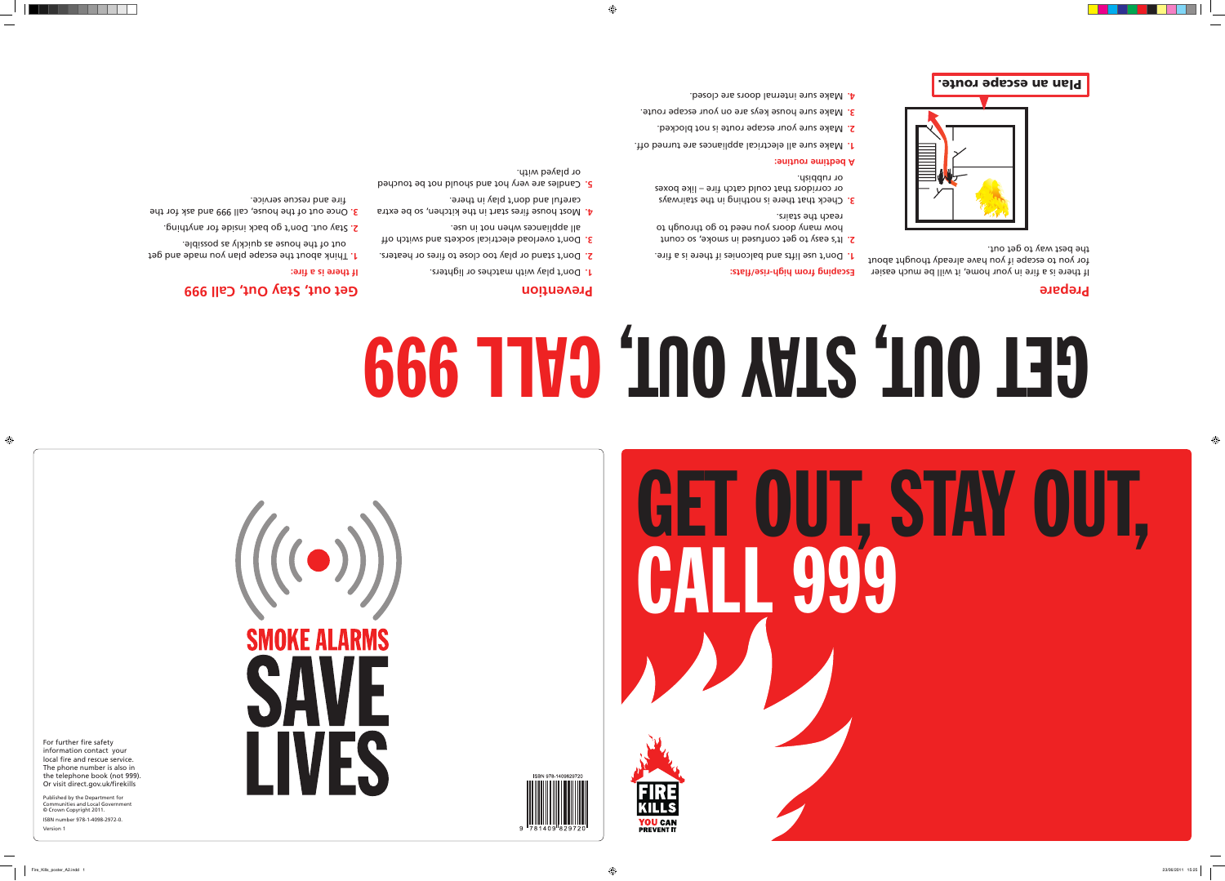For further fire safety information contact your local fire and rescue service. The phone number is also in the telephone book (not 999).

\_\_\_\_\_\_\_





ISBN 978-1409829720

If there is a fire in your home, it will be much easier for you to escape if you have already thought about the best way to get out.



Plan an escape route.

Or visit direct.gov.uk/firekills Published by the Department for Communities and Local Government © Crown Copyright 2011. ISBN number 978-1-4098-2972-0.

Version 1

## **Prepare**

**Escaping from high-rise/flats:** 

Don't use lifts and balconies if there is a fire. **1.**

2. It's easy to get confused in smoke, or ount

reach the stairs.

Check that there is nothing in the stairways **3.** or corridors that could catch fire – like boxes

or rubbish.

**A bedtime routine:** 

Make sure all electrical appliances are turned off. **1.**

Make sure your escape route is not blocked. **2.**

Make sure house keys are on your escape route. **3.**

Make sure internal doors are closed. **4.**

how many doors you need to go duploup to

## **Prevention**

Don't stand or play too close to fires or heaters. **2.**

- Don't play with matches or lighters. **1.**
- Don't overload electrical sockets and switch off **3.** all appliances when not in use.
- Most house fires start in the kitchen, so be extra **4.** careful and don't play in there.
- Candles are very hot and should not be touched **5.** or played with.

## **Get out, Stay Out, Call 999**

**If there is a fire:**

- Think about the escape plan you made and get **1.** out of the house as quickly as possible.
- Stay out. Don't go back inside for anything. **2.**
- Once out of the house, call 999 and ask for the **3.** fire and rescue service.



## **FIRE KILLS** UALL JJJ UI, SIAY CALL 999

# **666 TIVO '100 AVIS '100 139**